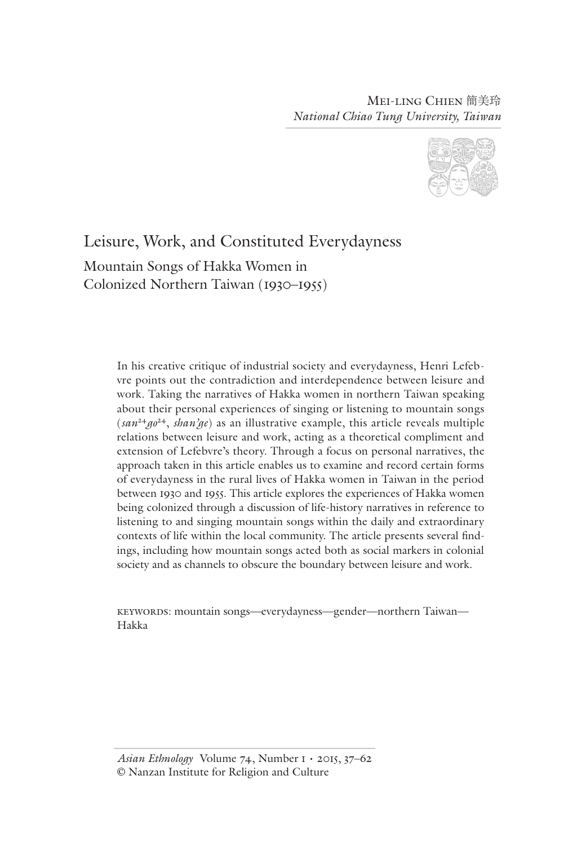Mei-ling Chien 簡美玲 *National Chiao Tung University, Taiwan*



# Leisure, Work, and Constituted Everydayness

Mountain Songs of Hakka Women in Colonized Northern Taiwan (1930–1955)

> In his creative critique of industrial society and everydayness, Henri Lefebvre points out the contradiction and interdependence between leisure and work. Taking the narratives of Hakka women in northern Taiwan speaking about their personal experiences of singing or listening to mountain songs  $(san^2 4g^2)$ , *shan'ge*) as an illustrative example, this article reveals multiple relations between leisure and work, acting as a theoretical compliment and extension of Lefebvre's theory. Through a focus on personal narratives, the approach taken in this article enables us to examine and record certain forms of everydayness in the rural lives of Hakka women in Taiwan in the period between 1930 and 1955. This article explores the experiences of Hakka women being colonized through a discussion of life-history narratives in reference to listening to and singing mountain songs within the daily and extraordinary contexts of life within the local community. The article presents several findings, including how mountain songs acted both as social markers in colonial society and as channels to obscure the boundary between leisure and work.

keywords: mountain songs—everydayness—gender—northern Taiwan— Hakka

*Asian Ethnology* Volume 74, Number 1 • 2015, 37–62 © Nanzan Institute for Religion and Culture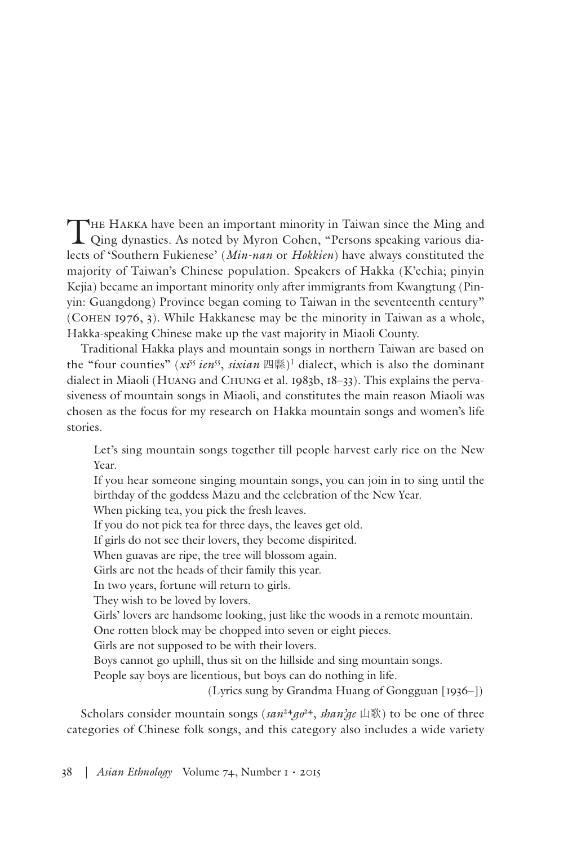THE HAKKA have been an important minority in Taiwan since the Ming and Qing dynasties. As noted by Myron Cohen, "Persons speaking various dialects of 'Southern Fukienese' (*Min-nan* or *Hokkien*) have always constituted the majority of Taiwan's Chinese population. Speakers of Hakka (K'echia; pinyin Kejia) became an important minority only after immigrants from Kwangtung (Pinyin: Guangdong) Province began coming to Taiwan in the seventeenth century" (Cohen 1976, 3). While Hakkanese may be the minority in Taiwan as a whole, Hakka-speaking Chinese make up the vast majority in Miaoli County.

Traditional Hakka plays and mountain songs in northern Taiwan are based on the "four counties" (*xi<sup>55</sup>* ien<sup>55</sup>, *sixian* 四縣)<sup>1</sup> dialect, which is also the dominant dialect in Miaoli (Huang and Chung et al. 1983b, 18–33). This explains the pervasiveness of mountain songs in Miaoli, and constitutes the main reason Miaoli was chosen as the focus for my research on Hakka mountain songs and women's life stories.

Let's sing mountain songs together till people harvest early rice on the New Year.

If you hear someone singing mountain songs, you can join in to sing until the birthday of the goddess Mazu and the celebration of the New Year.

When picking tea, you pick the fresh leaves.

If you do not pick tea for three days, the leaves get old.

If girls do not see their lovers, they become dispirited.

When guavas are ripe, the tree will blossom again.

Girls are not the heads of their family this year.

In two years, fortune will return to girls.

They wish to be loved by lovers.

Girls' lovers are handsome looking, just like the woods in a remote mountain. One rotten block may be chopped into seven or eight pieces.

Girls are not supposed to be with their lovers.

Boys cannot go uphill, thus sit on the hillside and sing mountain songs.

People say boys are licentious, but boys can do nothing in life.

(Lyrics sung by Grandma Huang of Gongguan [1936–])

Scholars consider mountain songs ( $\sin^{24} \pi \theta^{24}$ ,  $\sin^{2} \pi \theta$ ) to be one of three categories of Chinese folk songs, and this category also includes a wide variety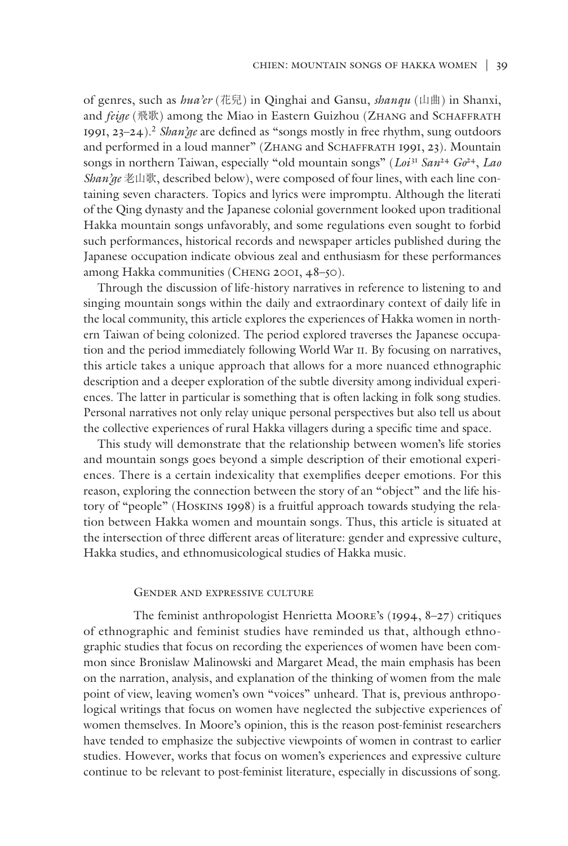of genres, such as *hua'er* (花兒) in Qinghai and Gansu, *shanqu* (山曲) in Shanxi, and *feige* (飛歌) among the Miao in Eastern Guizhou (ZHANG and SCHAFFRATH 1991, 23–24).2 *Shan'ge* are defined as "songs mostly in free rhythm, sung outdoors and performed in a loud manner" (ZHANG and SCHAFFRATH 1991, 23). Mountain songs in northern Taiwan, especially "old mountain songs" (*Loi* <sup>31</sup> *San*<sup>24</sup> *Go*24, *Lao Shan'ge* 老山歌, described below), were composed of four lines, with each line containing seven characters. Topics and lyrics were impromptu. Although the literati of the Qing dynasty and the Japanese colonial government looked upon traditional Hakka mountain songs unfavorably, and some regulations even sought to forbid such performances, historical records and newspaper articles published during the Japanese occupation indicate obvious zeal and enthusiasm for these performances among Hakka communities (Cheng 2001, 48–50).

Through the discussion of life-history narratives in reference to listening to and singing mountain songs within the daily and extraordinary context of daily life in the local community, this article explores the experiences of Hakka women in northern Taiwan of being colonized. The period explored traverses the Japanese occupation and the period immediately following World War II. By focusing on narratives, this article takes a unique approach that allows for a more nuanced ethnographic description and a deeper exploration of the subtle diversity among individual experiences. The latter in particular is something that is often lacking in folk song studies. Personal narratives not only relay unique personal perspectives but also tell us about the collective experiences of rural Hakka villagers during a specific time and space.

This study will demonstrate that the relationship between women's life stories and mountain songs goes beyond a simple description of their emotional experiences. There is a certain indexicality that exemplifies deeper emotions. For this reason, exploring the connection between the story of an "object" and the life history of "people" (Hoskins 1998) is a fruitful approach towards studying the relation between Hakka women and mountain songs. Thus, this article is situated at the intersection of three different areas of literature: gender and expressive culture, Hakka studies, and ethnomusicological studies of Hakka music.

#### Gender and expressive culture

The feminist anthropologist Henrietta Moore's (1994, 8–27) critiques of ethnographic and feminist studies have reminded us that, although ethnographic studies that focus on recording the experiences of women have been common since Bronislaw Malinowski and Margaret Mead, the main emphasis has been on the narration, analysis, and explanation of the thinking of women from the male point of view, leaving women's own "voices" unheard. That is, previous anthropological writings that focus on women have neglected the subjective experiences of women themselves. In Moore's opinion, this is the reason post-feminist researchers have tended to emphasize the subjective viewpoints of women in contrast to earlier studies. However, works that focus on women's experiences and expressive culture continue to be relevant to post-feminist literature, especially in discussions of song.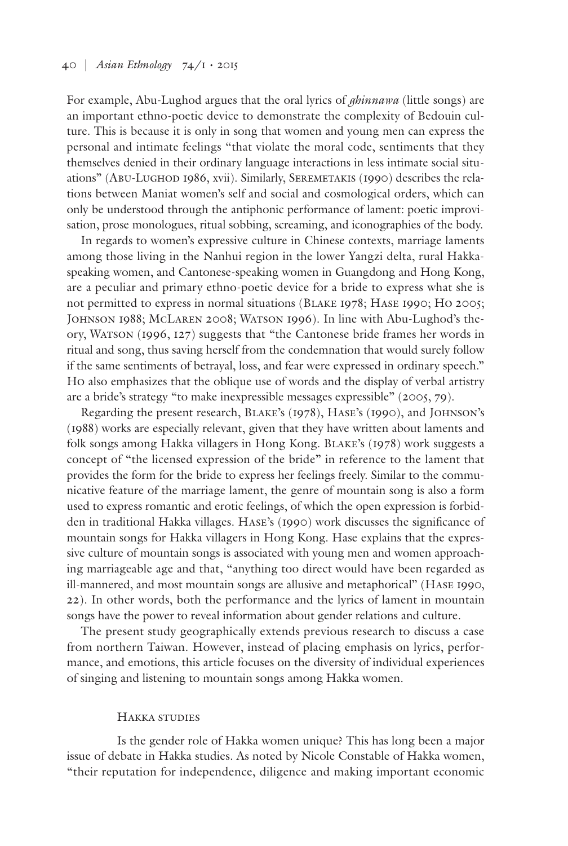For example, Abu-Lughod argues that the oral lyrics of *ghinnawa* (little songs) are an important ethno-poetic device to demonstrate the complexity of Bedouin culture. This is because it is only in song that women and young men can express the personal and intimate feelings "that violate the moral code, sentiments that they themselves denied in their ordinary language interactions in less intimate social situations" (Abu-Lughod 1986, xvii). Similarly, Seremetakis (1990) describes the relations between Maniat women's self and social and cosmological orders, which can only be understood through the antiphonic performance of lament: poetic improvisation, prose monologues, ritual sobbing, screaming, and iconographies of the body.

In regards to women's expressive culture in Chinese contexts, marriage laments among those living in the Nanhui region in the lower Yangzi delta, rural Hakkaspeaking women, and Cantonese-speaking women in Guangdong and Hong Kong, are a peculiar and primary ethno-poetic device for a bride to express what she is not permitted to express in normal situations (Blake 1978; Hase 1990; Ho 2005; Johnson 1988; McLaren 2008; Watson 1996). In line with Abu-Lughod's theory, Watson (1996, 127) suggests that "the Cantonese bride frames her words in ritual and song, thus saving herself from the condemnation that would surely follow if the same sentiments of betrayal, loss, and fear were expressed in ordinary speech." Ho also emphasizes that the oblique use of words and the display of verbal artistry are a bride's strategy "to make inexpressible messages expressible" (2005, 79).

Regarding the present research, Blake's (1978), Hase's (1990), and Johnson's (1988) works are especially relevant, given that they have written about laments and folk songs among Hakka villagers in Hong Kong. Blake's (1978) work suggests a concept of "the licensed expression of the bride" in reference to the lament that provides the form for the bride to express her feelings freely. Similar to the communicative feature of the marriage lament, the genre of mountain song is also a form used to express romantic and erotic feelings, of which the open expression is forbidden in traditional Hakka villages. Hase's (1990) work discusses the significance of mountain songs for Hakka villagers in Hong Kong. Hase explains that the expressive culture of mountain songs is associated with young men and women approaching marriageable age and that, "anything too direct would have been regarded as ill-mannered, and most mountain songs are allusive and metaphorical" (Hase 1990, 22). In other words, both the performance and the lyrics of lament in mountain songs have the power to reveal information about gender relations and culture.

The present study geographically extends previous research to discuss a case from northern Taiwan. However, instead of placing emphasis on lyrics, performance, and emotions, this article focuses on the diversity of individual experiences of singing and listening to mountain songs among Hakka women.

## Hakka studies

Is the gender role of Hakka women unique? This has long been a major issue of debate in Hakka studies. As noted by Nicole Constable of Hakka women, "their reputation for independence, diligence and making important economic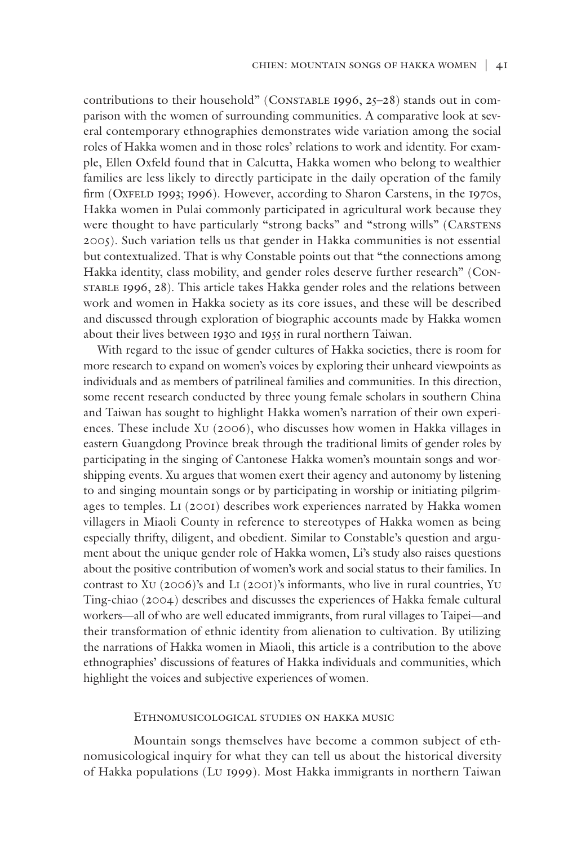contributions to their household" (CONSTABLE 1996,  $25-28$ ) stands out in comparison with the women of surrounding communities. A comparative look at several contemporary ethnographies demonstrates wide variation among the social roles of Hakka women and in those roles' relations to work and identity. For example, Ellen Oxfeld found that in Calcutta, Hakka women who belong to wealthier families are less likely to directly participate in the daily operation of the family firm (OXFELD 1993; 1996). However, according to Sharon Carstens, in the 1970s, Hakka women in Pulai commonly participated in agricultural work because they were thought to have particularly "strong backs" and "strong wills" (CARSTENS 2005). Such variation tells us that gender in Hakka communities is not essential but contextualized. That is why Constable points out that "the connections among Hakka identity, class mobility, and gender roles deserve further research" (Constable 1996, 28). This article takes Hakka gender roles and the relations between work and women in Hakka society as its core issues, and these will be described and discussed through exploration of biographic accounts made by Hakka women about their lives between 1930 and 1955 in rural northern Taiwan.

With regard to the issue of gender cultures of Hakka societies, there is room for more research to expand on women's voices by exploring their unheard viewpoints as individuals and as members of patrilineal families and communities. In this direction, some recent research conducted by three young female scholars in southern China and Taiwan has sought to highlight Hakka women's narration of their own experiences. These include Xu (2006), who discusses how women in Hakka villages in eastern Guangdong Province break through the traditional limits of gender roles by participating in the singing of Cantonese Hakka women's mountain songs and worshipping events. Xu argues that women exert their agency and autonomy by listening to and singing mountain songs or by participating in worship or initiating pilgrimages to temples. Li (2001) describes work experiences narrated by Hakka women villagers in Miaoli County in reference to stereotypes of Hakka women as being especially thrifty, diligent, and obedient. Similar to Constable's question and argument about the unique gender role of Hakka women, Li's study also raises questions about the positive contribution of women's work and social status to their families. In contrast to Xu (2006)'s and Li (2001)'s informants, who live in rural countries, Yu Ting-chiao (2004) describes and discusses the experiences of Hakka female cultural workers—all of who are well educated immigrants, from rural villages to Taipei—and their transformation of ethnic identity from alienation to cultivation. By utilizing the narrations of Hakka women in Miaoli, this article is a contribution to the above ethnographies' discussions of features of Hakka individuals and communities, which highlight the voices and subjective experiences of women.

## Ethnomusicological studies on hakka music

Mountain songs themselves have become a common subject of ethnomusicological inquiry for what they can tell us about the historical diversity of Hakka populations (Lu 1999). Most Hakka immigrants in northern Taiwan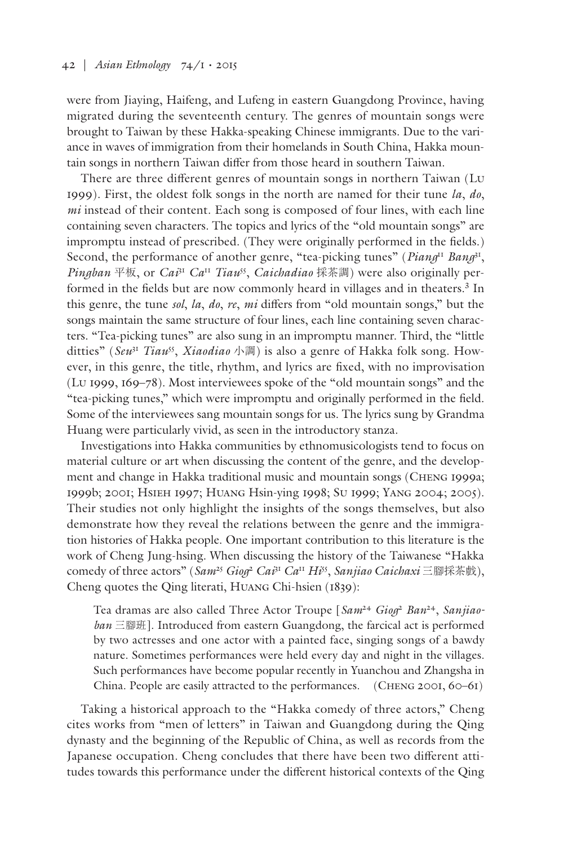were from Jiaying, Haifeng, and Lufeng in eastern Guangdong Province, having migrated during the seventeenth century. The genres of mountain songs were brought to Taiwan by these Hakka-speaking Chinese immigrants. Due to the variance in waves of immigration from their homelands in South China, Hakka mountain songs in northern Taiwan differ from those heard in southern Taiwan.

There are three different genres of mountain songs in northern Taiwan (Lu 1999). First, the oldest folk songs in the north are named for their tune *la*, *do*, *mi* instead of their content. Each song is composed of four lines, with each line containing seven characters. The topics and lyrics of the "old mountain songs" are impromptu instead of prescribed. (They were originally performed in the fields.) Second, the performance of another genre, "tea-picking tunes" (*Piang*<sup>11</sup> *Bang*<sup>31</sup>, *Pingban* 平板, or *Cai*<sup>31</sup> *Ca*<sup>11</sup> *Tiau*55, *Caichadiao* 採茶調) were also originally performed in the fields but are now commonly heard in villages and in theaters.<sup>3</sup> In this genre, the tune *sol*, *la*, *do*, *re*, *mi* differs from "old mountain songs," but the songs maintain the same structure of four lines, each line containing seven characters. "Tea-picking tunes" are also sung in an impromptu manner. Third, the "little ditties" (*Seu*<sup>31</sup> *Tiau*55, *Xiaodiao* 小調) is also a genre of Hakka folk song. However, in this genre, the title, rhythm, and lyrics are fixed, with no improvisation (Lu 1999, 169–78). Most interviewees spoke of the "old mountain songs" and the "tea-picking tunes," which were impromptu and originally performed in the field. Some of the interviewees sang mountain songs for us. The lyrics sung by Grandma Huang were particularly vivid, as seen in the introductory stanza.

Investigations into Hakka communities by ethnomusicologists tend to focus on material culture or art when discussing the content of the genre, and the development and change in Hakka traditional music and mountain songs (Cheng 1999a; 1999b; 2001; Hsieh 1997; Huang Hsin-ying 1998; Su 1999; Yang 2004; 2005). Their studies not only highlight the insights of the songs themselves, but also demonstrate how they reveal the relations between the genre and the immigration histories of Hakka people. One important contribution to this literature is the work of Cheng Jung-hsing. When discussing the history of the Taiwanese "Hakka comedy of three actors" (Sam<sup>25</sup> Giog<sup>2</sup> Cai<sup>31</sup> Ca<sup>11</sup> Hi<sup>55</sup>, Sanjiao Caichaxi 三腳採茶戲), Cheng quotes the Qing literati, Huang Chi-hsien (1839):

Tea dramas are also called Three Actor Troupe [*Sam*<sup>24</sup> *Giog*<sup>2</sup> *Ban*24, *Sanjiaoban* 三腳班]. Introduced from eastern Guangdong, the farcical act is performed by two actresses and one actor with a painted face, singing songs of a bawdy nature. Sometimes performances were held every day and night in the villages. Such performances have become popular recently in Yuanchou and Zhangsha in China. People are easily attracted to the performances. (CHENG 2001, 60–61)

Taking a historical approach to the "Hakka comedy of three actors," Cheng cites works from "men of letters" in Taiwan and Guangdong during the Qing dynasty and the beginning of the Republic of China, as well as records from the Japanese occupation. Cheng concludes that there have been two different attitudes towards this performance under the different historical contexts of the Qing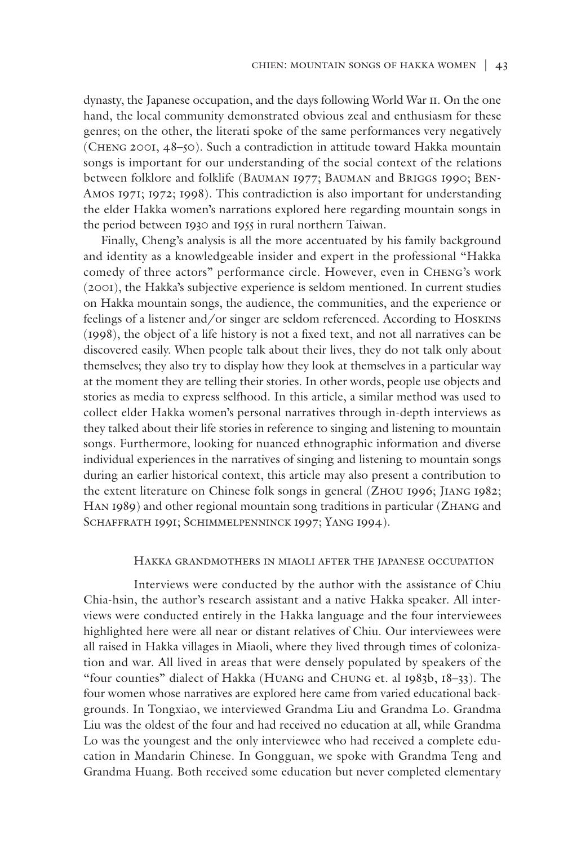dynasty, the Japanese occupation, and the days following World War II. On the one hand, the local community demonstrated obvious zeal and enthusiasm for these genres; on the other, the literati spoke of the same performances very negatively (Cheng 2001, 48–50). Such a contradiction in attitude toward Hakka mountain songs is important for our understanding of the social context of the relations between folklore and folklife (Bauman 1977; Bauman and Briggs 1990; Ben-Amos 1971; 1972; 1998). This contradiction is also important for understanding the elder Hakka women's narrations explored here regarding mountain songs in the period between 1930 and 1955 in rural northern Taiwan.

 Finally, Cheng's analysis is all the more accentuated by his family background and identity as a knowledgeable insider and expert in the professional "Hakka comedy of three actors" performance circle. However, even in Cheng's work (2001), the Hakka's subjective experience is seldom mentioned. In current studies on Hakka mountain songs, the audience, the communities, and the experience or feelings of a listener and/or singer are seldom referenced. According to Hoskins (1998), the object of a life history is not a fixed text, and not all narratives can be discovered easily. When people talk about their lives, they do not talk only about themselves; they also try to display how they look at themselves in a particular way at the moment they are telling their stories. In other words, people use objects and stories as media to express selfhood. In this article, a similar method was used to collect elder Hakka women's personal narratives through in-depth interviews as they talked about their life stories in reference to singing and listening to mountain songs. Furthermore, looking for nuanced ethnographic information and diverse individual experiences in the narratives of singing and listening to mountain songs during an earlier historical context, this article may also present a contribution to the extent literature on Chinese folk songs in general (Zhou 1996; Jiang 1982; Han 1989) and other regional mountain song traditions in particular (Zhang and SCHAFFRATH 1991; SCHIMMELPENNINCK 1997; YANG 1994).

#### Hakka grandmothers in miaoli after the japanese occupation

Interviews were conducted by the author with the assistance of Chiu Chia-hsin, the author's research assistant and a native Hakka speaker. All interviews were conducted entirely in the Hakka language and the four interviewees highlighted here were all near or distant relatives of Chiu. Our interviewees were all raised in Hakka villages in Miaoli, where they lived through times of colonization and war. All lived in areas that were densely populated by speakers of the "four counties" dialect of Hakka (Huang and Chung et. al 1983b, 18–33). The four women whose narratives are explored here came from varied educational backgrounds. In Tongxiao, we interviewed Grandma Liu and Grandma Lo. Grandma Liu was the oldest of the four and had received no education at all, while Grandma Lo was the youngest and the only interviewee who had received a complete education in Mandarin Chinese. In Gongguan, we spoke with Grandma Teng and Grandma Huang. Both received some education but never completed elementary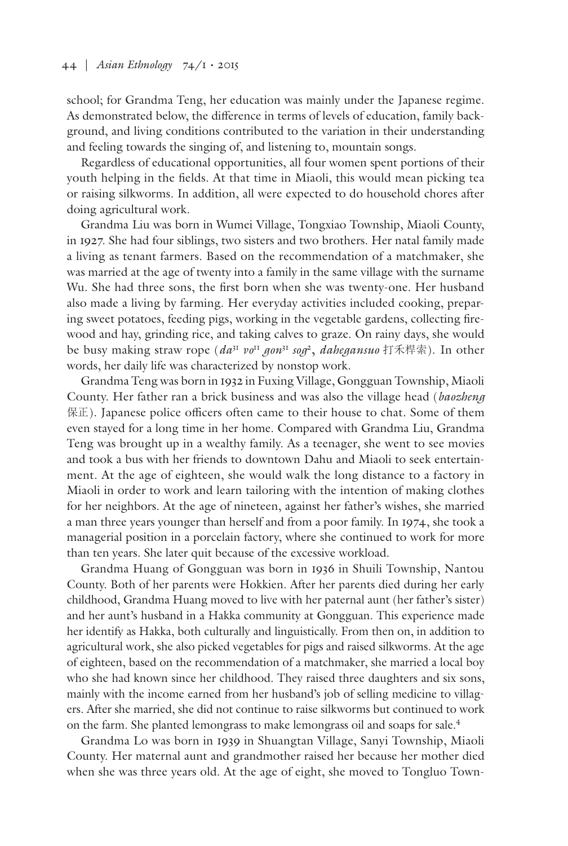school; for Grandma Teng, her education was mainly under the Japanese regime. As demonstrated below, the difference in terms of levels of education, family background, and living conditions contributed to the variation in their understanding and feeling towards the singing of, and listening to, mountain songs.

Regardless of educational opportunities, all four women spent portions of their youth helping in the fields. At that time in Miaoli, this would mean picking tea or raising silkworms. In addition, all were expected to do household chores after doing agricultural work.

Grandma Liu was born in Wumei Village, Tongxiao Township, Miaoli County, in 1927. She had four siblings, two sisters and two brothers. Her natal family made a living as tenant farmers. Based on the recommendation of a matchmaker, she was married at the age of twenty into a family in the same village with the surname Wu. She had three sons, the first born when she was twenty-one. Her husband also made a living by farming. Her everyday activities included cooking, preparing sweet potatoes, feeding pigs, working in the vegetable gardens, collecting firewood and hay, grinding rice, and taking calves to graze. On rainy days, she would be busy making straw rope (*da*<sup>31</sup> *vo*<sup>11</sup> *gon*<sup>31</sup> *sog*2, *dahegansuo* 打禾桿索). In other words, her daily life was characterized by nonstop work.

Grandma Teng was born in 1932 in Fuxing Village, Gongguan Township, Miaoli County. Her father ran a brick business and was also the village head (*baozheng* 保正). Japanese police officers often came to their house to chat. Some of them even stayed for a long time in her home. Compared with Grandma Liu, Grandma Teng was brought up in a wealthy family. As a teenager, she went to see movies and took a bus with her friends to downtown Dahu and Miaoli to seek entertainment. At the age of eighteen, she would walk the long distance to a factory in Miaoli in order to work and learn tailoring with the intention of making clothes for her neighbors. At the age of nineteen, against her father's wishes, she married a man three years younger than herself and from a poor family. In 1974, she took a managerial position in a porcelain factory, where she continued to work for more than ten years. She later quit because of the excessive workload.

Grandma Huang of Gongguan was born in 1936 in Shuili Township, Nantou County. Both of her parents were Hokkien. After her parents died during her early childhood, Grandma Huang moved to live with her paternal aunt (her father's sister) and her aunt's husband in a Hakka community at Gongguan. This experience made her identify as Hakka, both culturally and linguistically. From then on, in addition to agricultural work, she also picked vegetables for pigs and raised silkworms. At the age of eighteen, based on the recommendation of a matchmaker, she married a local boy who she had known since her childhood. They raised three daughters and six sons, mainly with the income earned from her husband's job of selling medicine to villagers. After she married, she did not continue to raise silkworms but continued to work on the farm. She planted lemongrass to make lemongrass oil and soaps for sale.4

Grandma Lo was born in 1939 in Shuangtan Village, Sanyi Township, Miaoli County. Her maternal aunt and grandmother raised her because her mother died when she was three years old. At the age of eight, she moved to Tongluo Town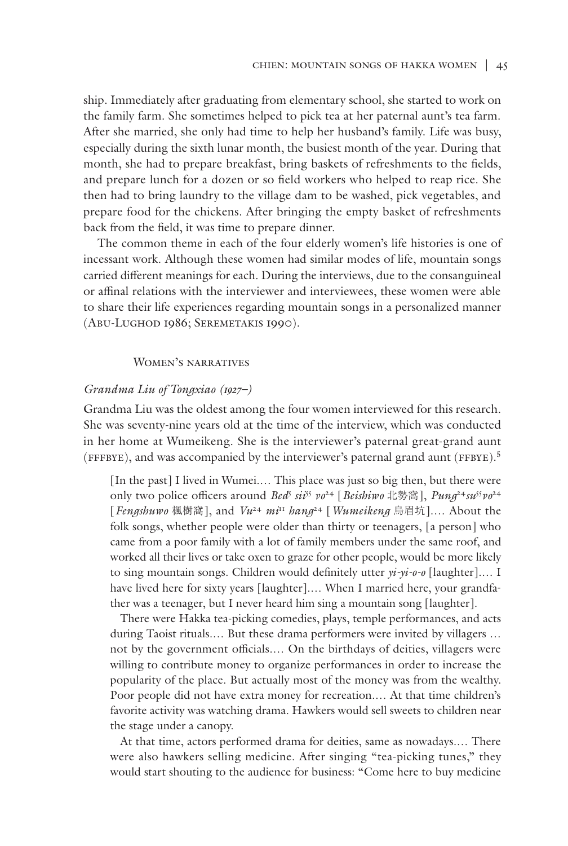ship. Immediately after graduating from elementary school, she started to work on the family farm. She sometimes helped to pick tea at her paternal aunt's tea farm. After she married, she only had time to help her husband's family. Life was busy, especially during the sixth lunar month, the busiest month of the year. During that month, she had to prepare breakfast, bring baskets of refreshments to the fields, and prepare lunch for a dozen or so field workers who helped to reap rice. She then had to bring laundry to the village dam to be washed, pick vegetables, and prepare food for the chickens. After bringing the empty basket of refreshments back from the field, it was time to prepare dinner.

The common theme in each of the four elderly women's life histories is one of incessant work. Although these women had similar modes of life, mountain songs carried different meanings for each. During the interviews, due to the consanguineal or affinal relations with the interviewer and interviewees, these women were able to share their life experiences regarding mountain songs in a personalized manner (Abu-Lughod 1986; Seremetakis 1990).

## Women's narratives

## *Grandma Liu of Tongxiao (1927–)*

Grandma Liu was the oldest among the four women interviewed for this research. She was seventy-nine years old at the time of the interview, which was conducted in her home at Wumeikeng. She is the interviewer's paternal great-grand aunt (FFFByE), and was accompanied by the interviewer's paternal grand aunt (FFByE).5

[In the past] I lived in Wumei.... This place was just so big then, but there were only two police officers around *Bed*<sup>5</sup>  *sii*<sup>55</sup> *vo*24 [*Beishiwo* 北勢窩], *Pung*<sup>24</sup>*su*<sup>55</sup>*vo*<sup>24</sup> [*Fengshuwo* 楓樹窩], and *Vu*<sup>24</sup> *mi*<sup>11</sup> *hang*24 [*Wumeikeng* 烏眉坑].… About the folk songs, whether people were older than thirty or teenagers, [a person] who came from a poor family with a lot of family members under the same roof, and worked all their lives or take oxen to graze for other people, would be more likely to sing mountain songs. Children would definitely utter *yi-yi-o-o* [laughter].… I have lived here for sixty years [laughter].... When I married here, your grandfather was a teenager, but I never heard him sing a mountain song [laughter].

There were Hakka tea-picking comedies, plays, temple performances, and acts during Taoist rituals.… But these drama performers were invited by villagers … not by the government officials.… On the birthdays of deities, villagers were willing to contribute money to organize performances in order to increase the popularity of the place. But actually most of the money was from the wealthy. Poor people did not have extra money for recreation.… At that time children's favorite activity was watching drama. Hawkers would sell sweets to children near the stage under a canopy.

At that time, actors performed drama for deities, same as nowadays.… There were also hawkers selling medicine. After singing "tea-picking tunes," they would start shouting to the audience for business: "Come here to buy medicine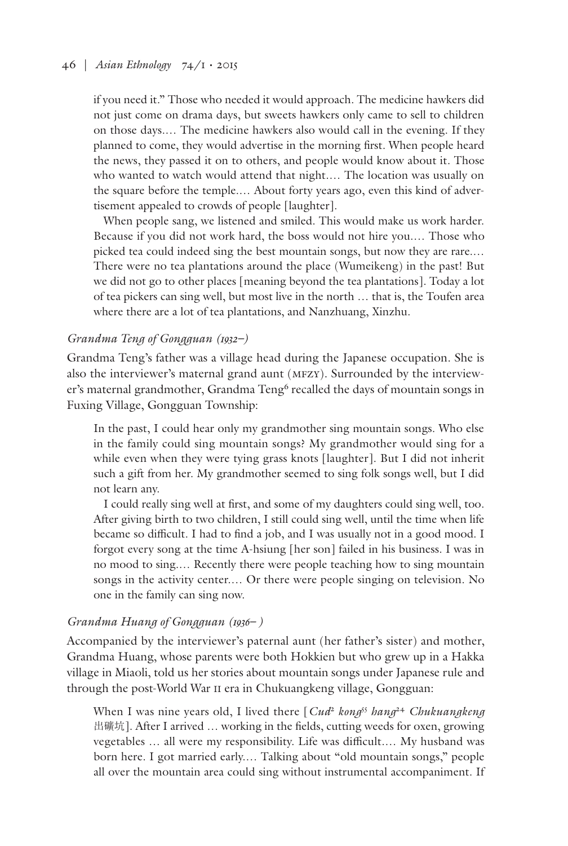# 46 | *Asian Ethnology* 74/1 • 2015

if you need it." Those who needed it would approach. The medicine hawkers did not just come on drama days, but sweets hawkers only came to sell to children on those days.… The medicine hawkers also would call in the evening. If they planned to come, they would advertise in the morning first. When people heard the news, they passed it on to others, and people would know about it. Those who wanted to watch would attend that night.… The location was usually on the square before the temple.… About forty years ago, even this kind of advertisement appealed to crowds of people [laughter].

When people sang, we listened and smiled. This would make us work harder. Because if you did not work hard, the boss would not hire you.… Those who picked tea could indeed sing the best mountain songs, but now they are rare.… There were no tea plantations around the place (Wumeikeng) in the past! But we did not go to other places [meaning beyond the tea plantations]. Today a lot of tea pickers can sing well, but most live in the north … that is, the Toufen area where there are a lot of tea plantations, and Nanzhuang, Xinzhu.

# *Grandma Teng of Gongguan (1932–)*

Grandma Teng's father was a village head during the Japanese occupation. She is also the interviewer's maternal grand aunt (MFZY). Surrounded by the interviewer's maternal grandmother, Grandma Teng<sup>6</sup> recalled the days of mountain songs in Fuxing Village, Gongguan Township:

In the past, I could hear only my grandmother sing mountain songs. Who else in the family could sing mountain songs? My grandmother would sing for a while even when they were tying grass knots [laughter]. But I did not inherit such a gift from her. My grandmother seemed to sing folk songs well, but I did not learn any.

I could really sing well at first, and some of my daughters could sing well, too. After giving birth to two children, I still could sing well, until the time when life became so difficult. I had to find a job, and I was usually not in a good mood. I forgot every song at the time A-hsiung [her son] failed in his business. I was in no mood to sing.… Recently there were people teaching how to sing mountain songs in the activity center.… Or there were people singing on television. No one in the family can sing now.

## *Grandma Huang of Gongguan (1936– )*

Accompanied by the interviewer's paternal aunt (her father's sister) and mother, Grandma Huang, whose parents were both Hokkien but who grew up in a Hakka village in Miaoli, told us her stories about mountain songs under Japanese rule and through the post-World War II era in Chukuangkeng village, Gongguan:

When I was nine years old, I lived there [*Cud*<sup>2</sup> *kong*<sup>55</sup> *hang*<sup>24</sup> *Chukuangkeng* 出礦坑]. After I arrived … working in the fields, cutting weeds for oxen, growing vegetables … all were my responsibility. Life was difficult.… My husband was born here. I got married early.… Talking about "old mountain songs," people all over the mountain area could sing without instrumental accompaniment. If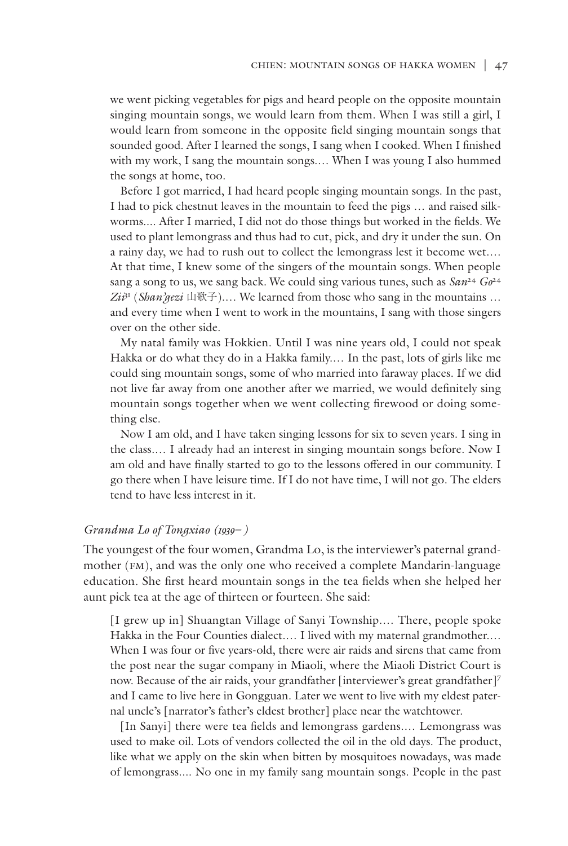we went picking vegetables for pigs and heard people on the opposite mountain singing mountain songs, we would learn from them. When I was still a girl, I would learn from someone in the opposite field singing mountain songs that sounded good. After I learned the songs, I sang when I cooked. When I finished with my work, I sang the mountain songs.… When I was young I also hummed the songs at home, too.

Before I got married, I had heard people singing mountain songs. In the past, I had to pick chestnut leaves in the mountain to feed the pigs … and raised silkworms.... After I married, I did not do those things but worked in the fields. We used to plant lemongrass and thus had to cut, pick, and dry it under the sun. On a rainy day, we had to rush out to collect the lemongrass lest it become wet.… At that time, I knew some of the singers of the mountain songs. When people sang a song to us, we sang back. We could sing various tunes, such as *San*<sup>24</sup> *Go*<sup>24</sup>  $Z_i \mathcal{F}^1$  (*Shan'gezi* 山歌子).... We learned from those who sang in the mountains ... and every time when I went to work in the mountains, I sang with those singers over on the other side.

My natal family was Hokkien. Until I was nine years old, I could not speak Hakka or do what they do in a Hakka family.… In the past, lots of girls like me could sing mountain songs, some of who married into faraway places. If we did not live far away from one another after we married, we would definitely sing mountain songs together when we went collecting firewood or doing something else.

Now I am old, and I have taken singing lessons for six to seven years. I sing in the class.… I already had an interest in singing mountain songs before. Now I am old and have finally started to go to the lessons offered in our community. I go there when I have leisure time. If I do not have time, I will not go. The elders tend to have less interest in it.

# *Grandma Lo of Tongxiao (1939– )*

The youngest of the four women, Grandma Lo, is the interviewer's paternal grandmother (FM), and was the only one who received a complete Mandarin-language education. She first heard mountain songs in the tea fields when she helped her aunt pick tea at the age of thirteen or fourteen. She said:

[I grew up in] Shuangtan Village of Sanyi Township.… There, people spoke Hakka in the Four Counties dialect.… I lived with my maternal grandmother.… When I was four or five years-old, there were air raids and sirens that came from the post near the sugar company in Miaoli, where the Miaoli District Court is now. Because of the air raids, your grandfather [interviewer's great grandfather]<sup>7</sup> and I came to live here in Gongguan. Later we went to live with my eldest paternal uncle's [narrator's father's eldest brother] place near the watchtower.

[In Sanyi] there were tea fields and lemongrass gardens.... Lemongrass was used to make oil. Lots of vendors collected the oil in the old days. The product, like what we apply on the skin when bitten by mosquitoes nowadays, was made of lemongrass.... No one in my family sang mountain songs. People in the past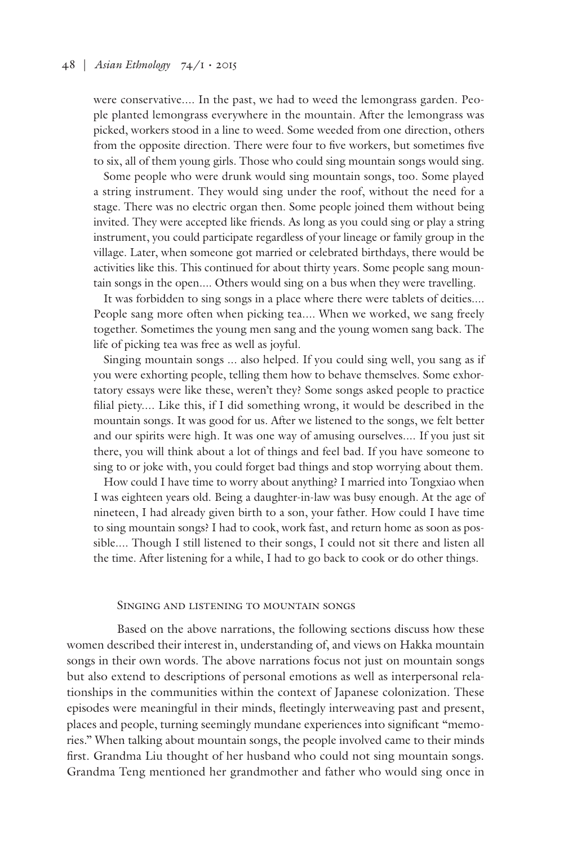were conservative.... In the past, we had to weed the lemongrass garden. People planted lemongrass everywhere in the mountain. After the lemongrass was picked, workers stood in a line to weed. Some weeded from one direction, others from the opposite direction. There were four to five workers, but sometimes five to six, all of them young girls. Those who could sing mountain songs would sing.

Some people who were drunk would sing mountain songs, too. Some played a string instrument. They would sing under the roof, without the need for a stage. There was no electric organ then. Some people joined them without being invited. They were accepted like friends. As long as you could sing or play a string instrument, you could participate regardless of your lineage or family group in the village. Later, when someone got married or celebrated birthdays, there would be activities like this. This continued for about thirty years. Some people sang mountain songs in the open.... Others would sing on a bus when they were travelling.

It was forbidden to sing songs in a place where there were tablets of deities.... People sang more often when picking tea.... When we worked, we sang freely together. Sometimes the young men sang and the young women sang back. The life of picking tea was free as well as joyful.

Singing mountain songs ... also helped. If you could sing well, you sang as if you were exhorting people, telling them how to behave themselves. Some exhortatory essays were like these, weren't they? Some songs asked people to practice filial piety.... Like this, if I did something wrong, it would be described in the mountain songs. It was good for us. After we listened to the songs, we felt better and our spirits were high. It was one way of amusing ourselves.... If you just sit there, you will think about a lot of things and feel bad. If you have someone to sing to or joke with, you could forget bad things and stop worrying about them.

How could I have time to worry about anything? I married into Tongxiao when I was eighteen years old. Being a daughter-in-law was busy enough. At the age of nineteen, I had already given birth to a son, your father. How could I have time to sing mountain songs? I had to cook, work fast, and return home as soon as possible.... Though I still listened to their songs, I could not sit there and listen all the time. After listening for a while, I had to go back to cook or do other things.

## Singing and listening to mountain songs

Based on the above narrations, the following sections discuss how these women described their interest in, understanding of, and views on Hakka mountain songs in their own words. The above narrations focus not just on mountain songs but also extend to descriptions of personal emotions as well as interpersonal relationships in the communities within the context of Japanese colonization. These episodes were meaningful in their minds, fleetingly interweaving past and present, places and people, turning seemingly mundane experiences into significant "memories." When talking about mountain songs, the people involved came to their minds first. Grandma Liu thought of her husband who could not sing mountain songs. Grandma Teng mentioned her grandmother and father who would sing once in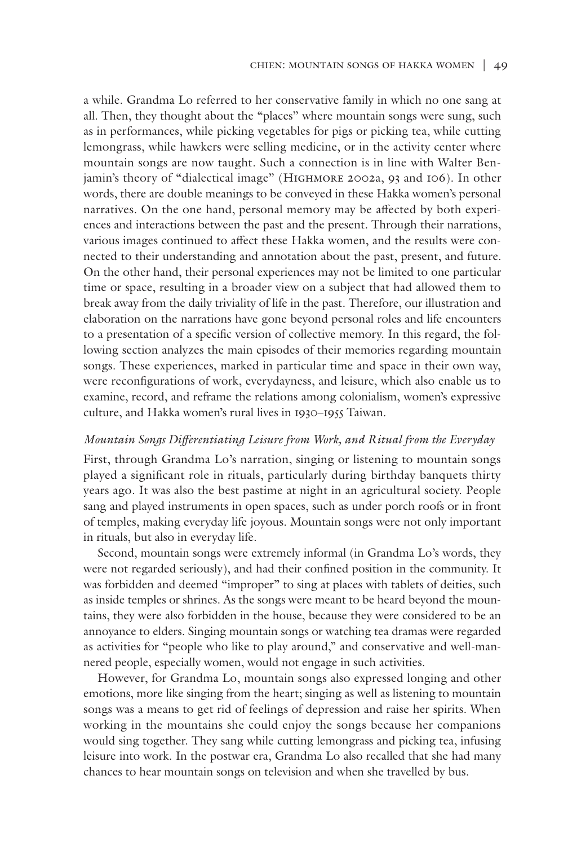a while. Grandma Lo referred to her conservative family in which no one sang at all. Then, they thought about the "places" where mountain songs were sung, such as in performances, while picking vegetables for pigs or picking tea, while cutting lemongrass, while hawkers were selling medicine, or in the activity center where mountain songs are now taught. Such a connection is in line with Walter Benjamin's theory of "dialectical image" (HIGHMORE 2002a, 93 and 106). In other words, there are double meanings to be conveyed in these Hakka women's personal narratives. On the one hand, personal memory may be affected by both experiences and interactions between the past and the present. Through their narrations, various images continued to affect these Hakka women, and the results were connected to their understanding and annotation about the past, present, and future. On the other hand, their personal experiences may not be limited to one particular time or space, resulting in a broader view on a subject that had allowed them to break away from the daily triviality of life in the past. Therefore, our illustration and elaboration on the narrations have gone beyond personal roles and life encounters to a presentation of a specific version of collective memory. In this regard, the following section analyzes the main episodes of their memories regarding mountain songs. These experiences, marked in particular time and space in their own way, were reconfigurations of work, everydayness, and leisure, which also enable us to examine, record, and reframe the relations among colonialism, women's expressive culture, and Hakka women's rural lives in 1930–1955 Taiwan.

#### *Mountain Songs Differentiating Leisure from Work, and Ritual from the Everyday*

First, through Grandma Lo's narration, singing or listening to mountain songs played a significant role in rituals, particularly during birthday banquets thirty years ago. It was also the best pastime at night in an agricultural society. People sang and played instruments in open spaces, such as under porch roofs or in front of temples, making everyday life joyous. Mountain songs were not only important in rituals, but also in everyday life.

Second, mountain songs were extremely informal (in Grandma Lo's words, they were not regarded seriously), and had their confined position in the community. It was forbidden and deemed "improper" to sing at places with tablets of deities, such as inside temples or shrines. As the songs were meant to be heard beyond the mountains, they were also forbidden in the house, because they were considered to be an annoyance to elders. Singing mountain songs or watching tea dramas were regarded as activities for "people who like to play around," and conservative and well-mannered people, especially women, would not engage in such activities.

However, for Grandma Lo, mountain songs also expressed longing and other emotions, more like singing from the heart; singing as well as listening to mountain songs was a means to get rid of feelings of depression and raise her spirits. When working in the mountains she could enjoy the songs because her companions would sing together. They sang while cutting lemongrass and picking tea, infusing leisure into work. In the postwar era, Grandma Lo also recalled that she had many chances to hear mountain songs on television and when she travelled by bus.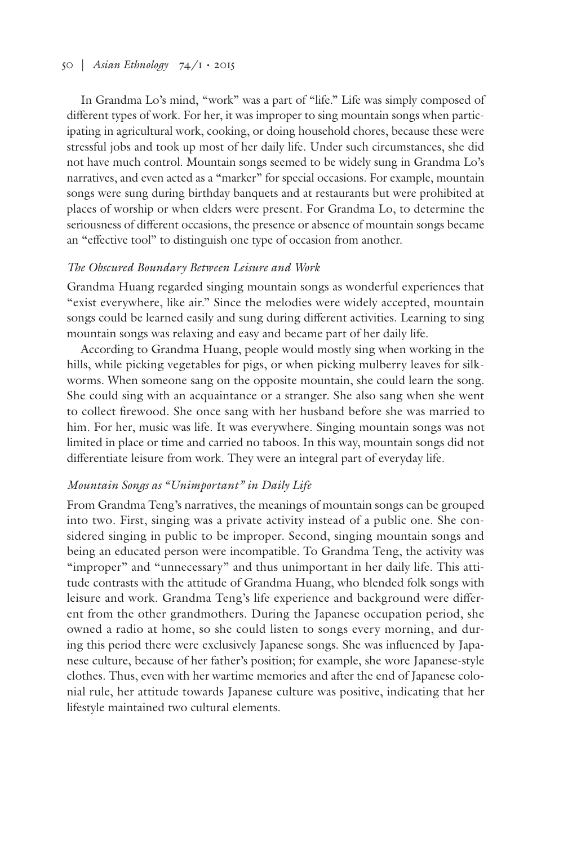# 50 | *Asian Ethnology* 74/1 • 2015

In Grandma Lo's mind, "work" was a part of "life." Life was simply composed of different types of work. For her, it was improper to sing mountain songs when participating in agricultural work, cooking, or doing household chores, because these were stressful jobs and took up most of her daily life. Under such circumstances, she did not have much control. Mountain songs seemed to be widely sung in Grandma Lo's narratives, and even acted as a "marker" for special occasions. For example, mountain songs were sung during birthday banquets and at restaurants but were prohibited at places of worship or when elders were present. For Grandma Lo, to determine the seriousness of different occasions, the presence or absence of mountain songs became an "effective tool" to distinguish one type of occasion from another.

## *The Obscured Boundary Between Leisure and Work*

Grandma Huang regarded singing mountain songs as wonderful experiences that "exist everywhere, like air." Since the melodies were widely accepted, mountain songs could be learned easily and sung during different activities. Learning to sing mountain songs was relaxing and easy and became part of her daily life.

According to Grandma Huang, people would mostly sing when working in the hills, while picking vegetables for pigs, or when picking mulberry leaves for silkworms. When someone sang on the opposite mountain, she could learn the song. She could sing with an acquaintance or a stranger. She also sang when she went to collect firewood. She once sang with her husband before she was married to him. For her, music was life. It was everywhere. Singing mountain songs was not limited in place or time and carried no taboos. In this way, mountain songs did not differentiate leisure from work. They were an integral part of everyday life.

# *Mountain Songs as "Unimportant" in Daily Life*

From Grandma Teng's narratives, the meanings of mountain songs can be grouped into two. First, singing was a private activity instead of a public one. She considered singing in public to be improper. Second, singing mountain songs and being an educated person were incompatible. To Grandma Teng, the activity was "improper" and "unnecessary" and thus unimportant in her daily life. This attitude contrasts with the attitude of Grandma Huang, who blended folk songs with leisure and work. Grandma Teng's life experience and background were different from the other grandmothers. During the Japanese occupation period, she owned a radio at home, so she could listen to songs every morning, and during this period there were exclusively Japanese songs. She was influenced by Japanese culture, because of her father's position; for example, she wore Japanese-style clothes. Thus, even with her wartime memories and after the end of Japanese colonial rule, her attitude towards Japanese culture was positive, indicating that her lifestyle maintained two cultural elements.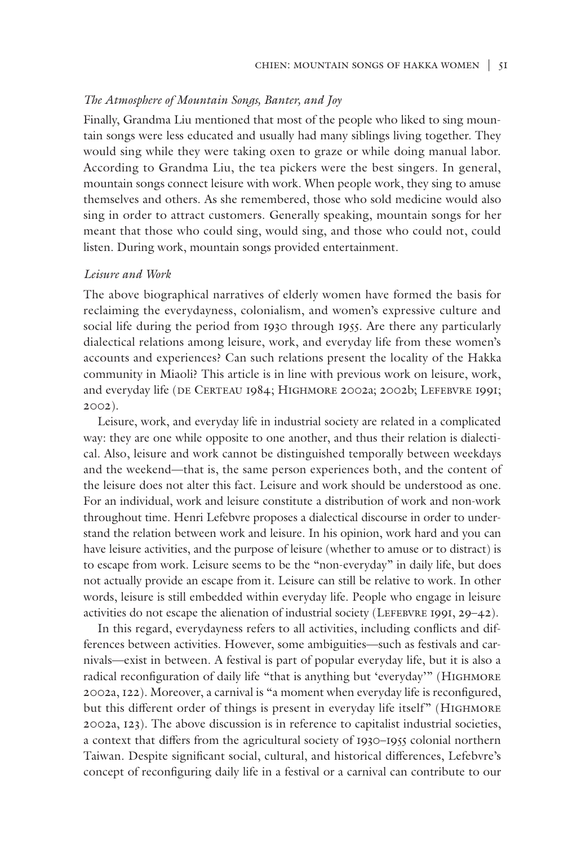# *The Atmosphere of Mountain Songs, Banter, and Joy*

Finally, Grandma Liu mentioned that most of the people who liked to sing mountain songs were less educated and usually had many siblings living together. They would sing while they were taking oxen to graze or while doing manual labor. According to Grandma Liu, the tea pickers were the best singers. In general, mountain songs connect leisure with work. When people work, they sing to amuse themselves and others. As she remembered, those who sold medicine would also sing in order to attract customers. Generally speaking, mountain songs for her meant that those who could sing, would sing, and those who could not, could listen. During work, mountain songs provided entertainment.

#### *Leisure and Work*

The above biographical narratives of elderly women have formed the basis for reclaiming the everydayness, colonialism, and women's expressive culture and social life during the period from 1930 through 1955. Are there any particularly dialectical relations among leisure, work, and everyday life from these women's accounts and experiences? Can such relations present the locality of the Hakka community in Miaoli? This article is in line with previous work on leisure, work, and everyday life (DE CERTEAU 1984; HIGHMORE 2002a; 2002b; LEFEBVRE 1991; 2002).

Leisure, work, and everyday life in industrial society are related in a complicated way: they are one while opposite to one another, and thus their relation is dialectical. Also, leisure and work cannot be distinguished temporally between weekdays and the weekend—that is, the same person experiences both, and the content of the leisure does not alter this fact. Leisure and work should be understood as one. For an individual, work and leisure constitute a distribution of work and non-work throughout time. Henri Lefebvre proposes a dialectical discourse in order to understand the relation between work and leisure. In his opinion, work hard and you can have leisure activities, and the purpose of leisure (whether to amuse or to distract) is to escape from work. Leisure seems to be the "non-everyday" in daily life, but does not actually provide an escape from it. Leisure can still be relative to work. In other words, leisure is still embedded within everyday life. People who engage in leisure activities do not escape the alienation of industrial society (LEFEBVRE 1991,  $29-42$ ).

In this regard, everydayness refers to all activities, including conflicts and differences between activities. However, some ambiguities—such as festivals and carnivals—exist in between. A festival is part of popular everyday life, but it is also a radical reconfiguration of daily life "that is anything but 'everyday'" (HIGHMORE 2002a, 122). Moreover, a carnival is "a moment when everyday life is reconfigured, but this different order of things is present in everyday life itself" (HIGHMORE 2002a, 123). The above discussion is in reference to capitalist industrial societies, a context that differs from the agricultural society of 1930–1955 colonial northern Taiwan. Despite significant social, cultural, and historical differences, Lefebvre's concept of reconfiguring daily life in a festival or a carnival can contribute to our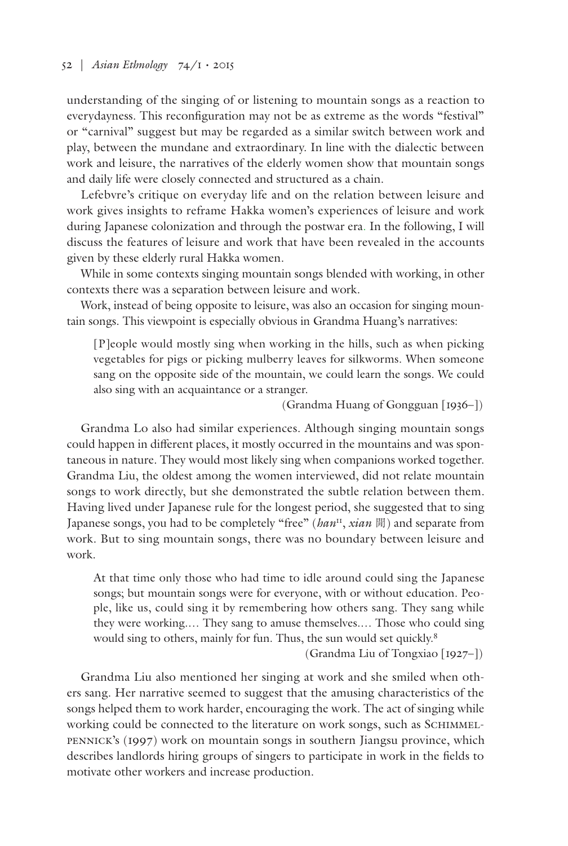# 52 | *Asian Ethnology* 74/1 • 2015

understanding of the singing of or listening to mountain songs as a reaction to everydayness. This reconfiguration may not be as extreme as the words "festival" or "carnival" suggest but may be regarded as a similar switch between work and play, between the mundane and extraordinary. In line with the dialectic between work and leisure, the narratives of the elderly women show that mountain songs and daily life were closely connected and structured as a chain.

Lefebvre's critique on everyday life and on the relation between leisure and work gives insights to reframe Hakka women's experiences of leisure and work during Japanese colonization and through the postwar era. In the following, I will discuss the features of leisure and work that have been revealed in the accounts given by these elderly rural Hakka women.

While in some contexts singing mountain songs blended with working, in other contexts there was a separation between leisure and work.

Work, instead of being opposite to leisure, was also an occasion for singing mountain songs. This viewpoint is especially obvious in Grandma Huang's narratives:

[P]eople would mostly sing when working in the hills, such as when picking vegetables for pigs or picking mulberry leaves for silkworms. When someone sang on the opposite side of the mountain, we could learn the songs. We could also sing with an acquaintance or a stranger.

(Grandma Huang of Gongguan [1936–])

Grandma Lo also had similar experiences. Although singing mountain songs could happen in different places, it mostly occurred in the mountains and was spontaneous in nature. They would most likely sing when companions worked together. Grandma Liu, the oldest among the women interviewed, did not relate mountain songs to work directly, but she demonstrated the subtle relation between them. Having lived under Japanese rule for the longest period, she suggested that to sing Japanese songs, you had to be completely "free" (*han*11, *xian* 閒) and separate from work. But to sing mountain songs, there was no boundary between leisure and work.

At that time only those who had time to idle around could sing the Japanese songs; but mountain songs were for everyone, with or without education. People, like us, could sing it by remembering how others sang. They sang while they were working.… They sang to amuse themselves.… Those who could sing would sing to others, mainly for fun. Thus, the sun would set quickly.8

(Grandma Liu of Tongxiao [1927–])

Grandma Liu also mentioned her singing at work and she smiled when others sang. Her narrative seemed to suggest that the amusing characteristics of the songs helped them to work harder, encouraging the work. The act of singing while working could be connected to the literature on work songs, such as SCHIMMELpennick's (1997) work on mountain songs in southern Jiangsu province, which describes landlords hiring groups of singers to participate in work in the fields to motivate other workers and increase production.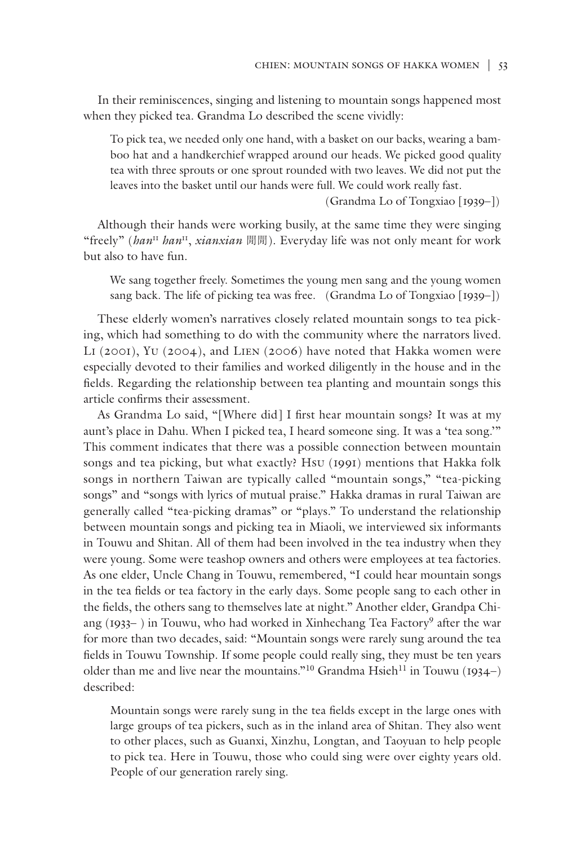In their reminiscences, singing and listening to mountain songs happened most when they picked tea. Grandma Lo described the scene vividly:

To pick tea, we needed only one hand, with a basket on our backs, wearing a bamboo hat and a handkerchief wrapped around our heads. We picked good quality tea with three sprouts or one sprout rounded with two leaves. We did not put the leaves into the basket until our hands were full. We could work really fast.

(Grandma Lo of Tongxiao [1939–])

Although their hands were working busily, at the same time they were singing "freely" (*han*<sup>11</sup> *han*11, *xianxian* 閒閒). Everyday life was not only meant for work but also to have fun.

We sang together freely. Sometimes the young men sang and the young women sang back. The life of picking tea was free. (Grandma Lo of Tongxiao [1939–])

These elderly women's narratives closely related mountain songs to tea picking, which had something to do with the community where the narrators lived. Li (2001), Yu (2004), and Lien (2006) have noted that Hakka women were especially devoted to their families and worked diligently in the house and in the fields. Regarding the relationship between tea planting and mountain songs this article confirms their assessment.

As Grandma Lo said, "[Where did] I first hear mountain songs? It was at my aunt's place in Dahu. When I picked tea, I heard someone sing. It was a 'tea song.'" This comment indicates that there was a possible connection between mountain songs and tea picking, but what exactly? Hsu (1991) mentions that Hakka folk songs in northern Taiwan are typically called "mountain songs," "tea-picking songs" and "songs with lyrics of mutual praise." Hakka dramas in rural Taiwan are generally called "tea-picking dramas" or "plays." To understand the relationship between mountain songs and picking tea in Miaoli, we interviewed six informants in Touwu and Shitan. All of them had been involved in the tea industry when they were young. Some were teashop owners and others were employees at tea factories. As one elder, Uncle Chang in Touwu, remembered, "I could hear mountain songs in the tea fields or tea factory in the early days. Some people sang to each other in the fields, the others sang to themselves late at night." Another elder, Grandpa Chiang (1933– ) in Touwu, who had worked in Xinhechang Tea Factory<sup>9</sup> after the war for more than two decades, said: "Mountain songs were rarely sung around the tea fields in Touwu Township. If some people could really sing, they must be ten years older than me and live near the mountains."<sup>10</sup> Grandma Hsieh<sup>11</sup> in Touwu (1934–) described:

Mountain songs were rarely sung in the tea fields except in the large ones with large groups of tea pickers, such as in the inland area of Shitan. They also went to other places, such as Guanxi, Xinzhu, Longtan, and Taoyuan to help people to pick tea. Here in Touwu, those who could sing were over eighty years old. People of our generation rarely sing.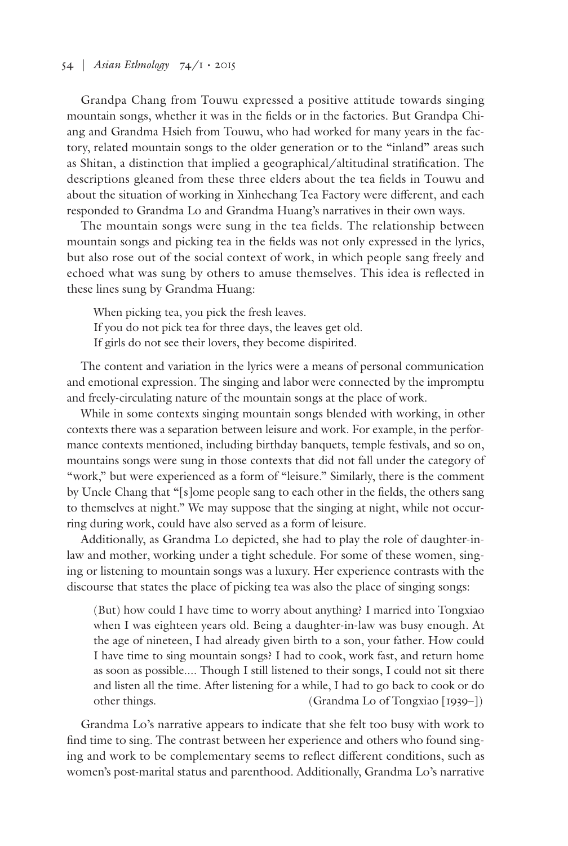# 54 | *Asian Ethnology* 74/1 • 2015

Grandpa Chang from Touwu expressed a positive attitude towards singing mountain songs, whether it was in the fields or in the factories. But Grandpa Chiang and Grandma Hsieh from Touwu, who had worked for many years in the factory, related mountain songs to the older generation or to the "inland" areas such as Shitan, a distinction that implied a geographical/altitudinal stratification. The descriptions gleaned from these three elders about the tea fields in Touwu and about the situation of working in Xinhechang Tea Factory were different, and each responded to Grandma Lo and Grandma Huang's narratives in their own ways.

The mountain songs were sung in the tea fields. The relationship between mountain songs and picking tea in the fields was not only expressed in the lyrics, but also rose out of the social context of work, in which people sang freely and echoed what was sung by others to amuse themselves. This idea is reflected in these lines sung by Grandma Huang:

When picking tea, you pick the fresh leaves. If you do not pick tea for three days, the leaves get old. If girls do not see their lovers, they become dispirited.

The content and variation in the lyrics were a means of personal communication and emotional expression. The singing and labor were connected by the impromptu and freely-circulating nature of the mountain songs at the place of work.

While in some contexts singing mountain songs blended with working, in other contexts there was a separation between leisure and work. For example, in the performance contexts mentioned, including birthday banquets, temple festivals, and so on, mountains songs were sung in those contexts that did not fall under the category of "work," but were experienced as a form of "leisure." Similarly, there is the comment by Uncle Chang that "[s]ome people sang to each other in the fields, the others sang to themselves at night." We may suppose that the singing at night, while not occurring during work, could have also served as a form of leisure.

Additionally, as Grandma Lo depicted, she had to play the role of daughter-inlaw and mother, working under a tight schedule. For some of these women, singing or listening to mountain songs was a luxury. Her experience contrasts with the discourse that states the place of picking tea was also the place of singing songs:

(But) how could I have time to worry about anything? I married into Tongxiao when I was eighteen years old. Being a daughter-in-law was busy enough. At the age of nineteen, I had already given birth to a son, your father. How could I have time to sing mountain songs? I had to cook, work fast, and return home as soon as possible.... Though I still listened to their songs, I could not sit there and listen all the time. After listening for a while, I had to go back to cook or do other things. (Grandma Lo of Tongxiao [1939–])

Grandma Lo's narrative appears to indicate that she felt too busy with work to find time to sing. The contrast between her experience and others who found singing and work to be complementary seems to reflect different conditions, such as women's post-marital status and parenthood. Additionally, Grandma Lo's narrative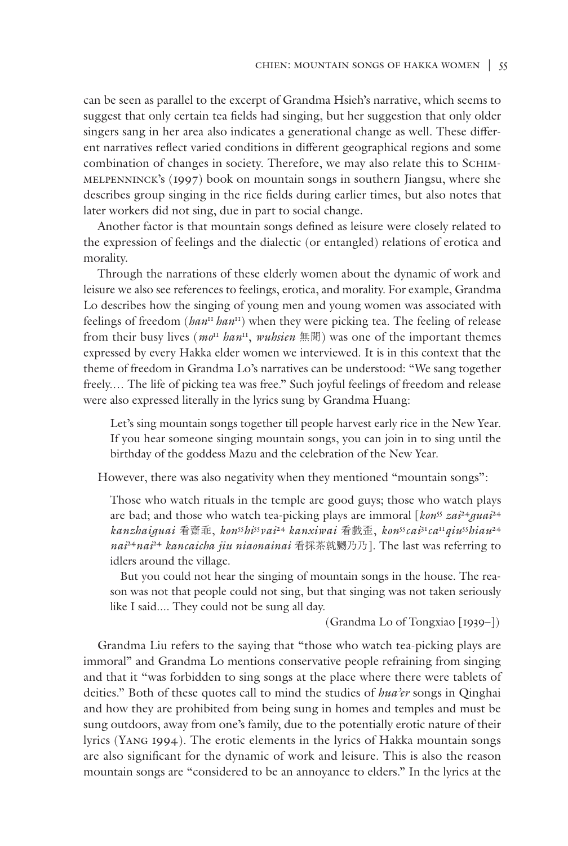can be seen as parallel to the excerpt of Grandma Hsieh's narrative, which seems to suggest that only certain tea fields had singing, but her suggestion that only older singers sang in her area also indicates a generational change as well. These different narratives reflect varied conditions in different geographical regions and some combination of changes in society. Therefore, we may also relate this to Schimmelpenninck's (1997) book on mountain songs in southern Jiangsu, where she describes group singing in the rice fields during earlier times, but also notes that later workers did not sing, due in part to social change.

Another factor is that mountain songs defined as leisure were closely related to the expression of feelings and the dialectic (or entangled) relations of erotica and morality.

Through the narrations of these elderly women about the dynamic of work and leisure we also see references to feelings, erotica, and morality. For example, Grandma Lo describes how the singing of young men and young women was associated with feelings of freedom (*han*<sup>11</sup>*han*11) when they were picking tea. The feeling of release from their busy lives (*mo*<sup>11</sup> *han*11, *wuhsien* 無閒) was one of the important themes expressed by every Hakka elder women we interviewed. It is in this context that the theme of freedom in Grandma Lo's narratives can be understood: "We sang together freely.… The life of picking tea was free." Such joyful feelings of freedom and release were also expressed literally in the lyrics sung by Grandma Huang:

Let's sing mountain songs together till people harvest early rice in the New Year. If you hear someone singing mountain songs, you can join in to sing until the birthday of the goddess Mazu and the celebration of the New Year.

However, there was also negativity when they mentioned "mountain songs":

Those who watch rituals in the temple are good guys; those who watch plays are bad; and those who watch tea-picking plays are immoral [ $\text{kon}^{55}$   $\text{z}a\textit{i}^{24}$ *guai*<sup>24</sup> *kanzhaiguai* 看齋乖, *kon*<sup>55</sup>*hi*<sup>55</sup>*vai*<sup>24</sup>*kanxiwai* 看戲歪, *kon*<sup>55</sup>*cai*<sup>31</sup>*ca*<sup>11</sup>*qiu*<sup>55</sup>*hiau*<sup>24</sup> *nai*<sup>24</sup>*nai*<sup>24</sup> *kancaicha jiu niaonainai* 看採茶就嬲乃乃]. The last was referring to idlers around the village.

But you could not hear the singing of mountain songs in the house. The reason was not that people could not sing, but that singing was not taken seriously like I said.... They could not be sung all day.

(Grandma Lo of Tongxiao [1939–])

Grandma Liu refers to the saying that "those who watch tea-picking plays are immoral" and Grandma Lo mentions conservative people refraining from singing and that it "was forbidden to sing songs at the place where there were tablets of deities." Both of these quotes call to mind the studies of *hua'er* songs in Qinghai and how they are prohibited from being sung in homes and temples and must be sung outdoors, away from one's family, due to the potentially erotic nature of their lyrics (Yang 1994). The erotic elements in the lyrics of Hakka mountain songs are also significant for the dynamic of work and leisure. This is also the reason mountain songs are "considered to be an annoyance to elders." In the lyrics at the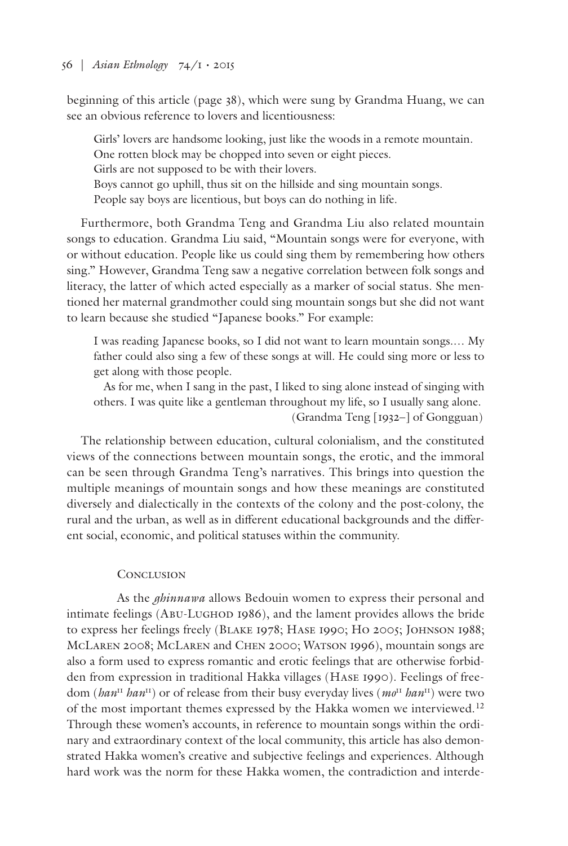beginning of this article (page 38), which were sung by Grandma Huang, we can see an obvious reference to lovers and licentiousness:

Girls' lovers are handsome looking, just like the woods in a remote mountain. One rotten block may be chopped into seven or eight pieces. Girls are not supposed to be with their lovers. Boys cannot go uphill, thus sit on the hillside and sing mountain songs. People say boys are licentious, but boys can do nothing in life.

Furthermore, both Grandma Teng and Grandma Liu also related mountain songs to education. Grandma Liu said, "Mountain songs were for everyone, with or without education. People like us could sing them by remembering how others sing." However, Grandma Teng saw a negative correlation between folk songs and literacy, the latter of which acted especially as a marker of social status. She mentioned her maternal grandmother could sing mountain songs but she did not want to learn because she studied "Japanese books." For example:

I was reading Japanese books, so I did not want to learn mountain songs.… My father could also sing a few of these songs at will. He could sing more or less to get along with those people.

As for me, when I sang in the past, I liked to sing alone instead of singing with others. I was quite like a gentleman throughout my life, so I usually sang alone. (Grandma Teng [1932–] of Gongguan)

The relationship between education, cultural colonialism, and the constituted views of the connections between mountain songs, the erotic, and the immoral can be seen through Grandma Teng's narratives. This brings into question the multiple meanings of mountain songs and how these meanings are constituted diversely and dialectically in the contexts of the colony and the post-colony, the rural and the urban, as well as in different educational backgrounds and the different social, economic, and political statuses within the community.

# **CONCLUSION**

As the *ghinnawa* allows Bedouin women to express their personal and intimate feelings (Abu-Lughod 1986), and the lament provides allows the bride to express her feelings freely (Blake 1978; Hase 1990; Ho 2005; Johnson 1988; McLaren 2008; McLaren and Chen 2000; Watson 1996), mountain songs are also a form used to express romantic and erotic feelings that are otherwise forbidden from expression in traditional Hakka villages (Hase 1990). Feelings of freedom (*han*<sup>11</sup> *han*11) or of release from their busy everyday lives (*mo*<sup>11</sup> *han*11) were two of the most important themes expressed by the Hakka women we interviewed.<sup>12</sup> Through these women's accounts, in reference to mountain songs within the ordinary and extraordinary context of the local community, this article has also demonstrated Hakka women's creative and subjective feelings and experiences. Although hard work was the norm for these Hakka women, the contradiction and interde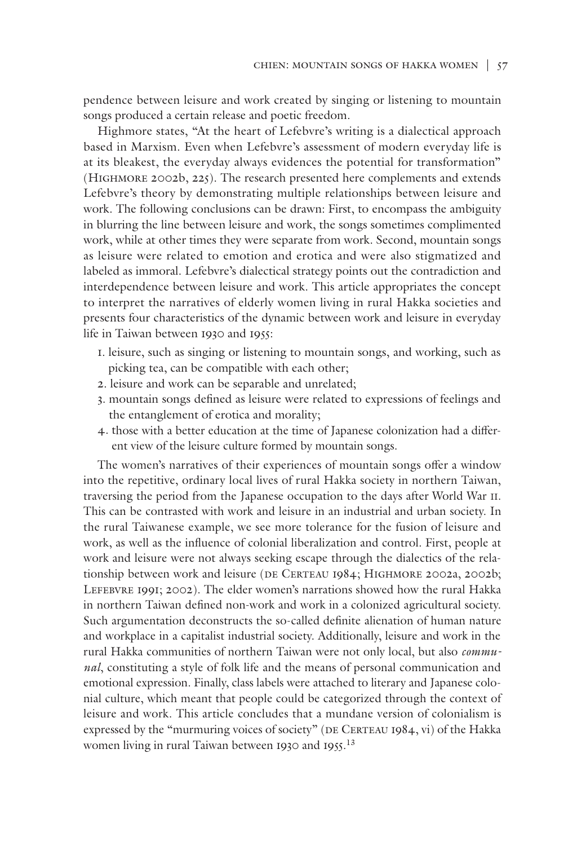pendence between leisure and work created by singing or listening to mountain songs produced a certain release and poetic freedom.

Highmore states, "At the heart of Lefebvre's writing is a dialectical approach based in Marxism. Even when Lefebvre's assessment of modern everyday life is at its bleakest, the everyday always evidences the potential for transformation" (Highmore 2002b, 225). The research presented here complements and extends Lefebvre's theory by demonstrating multiple relationships between leisure and work. The following conclusions can be drawn: First, to encompass the ambiguity in blurring the line between leisure and work, the songs sometimes complimented work, while at other times they were separate from work. Second, mountain songs as leisure were related to emotion and erotica and were also stigmatized and labeled as immoral. Lefebvre's dialectical strategy points out the contradiction and interdependence between leisure and work. This article appropriates the concept to interpret the narratives of elderly women living in rural Hakka societies and presents four characteristics of the dynamic between work and leisure in everyday life in Taiwan between 1930 and 1955:

- 1. leisure, such as singing or listening to mountain songs, and working, such as picking tea, can be compatible with each other;
- 2. leisure and work can be separable and unrelated;
- 3. mountain songs defined as leisure were related to expressions of feelings and the entanglement of erotica and morality;
- 4. those with a better education at the time of Japanese colonization had a different view of the leisure culture formed by mountain songs.

The women's narratives of their experiences of mountain songs offer a window into the repetitive, ordinary local lives of rural Hakka society in northern Taiwan, traversing the period from the Japanese occupation to the days after World War II. This can be contrasted with work and leisure in an industrial and urban society. In the rural Taiwanese example, we see more tolerance for the fusion of leisure and work, as well as the influence of colonial liberalization and control. First, people at work and leisure were not always seeking escape through the dialectics of the relationship between work and leisure (DE CERTEAU 1984; HIGHMORE 2002a, 2002b; LEFEBVRE 1991; 2002). The elder women's narrations showed how the rural Hakka in northern Taiwan defined non-work and work in a colonized agricultural society. Such argumentation deconstructs the so-called definite alienation of human nature and workplace in a capitalist industrial society. Additionally, leisure and work in the rural Hakka communities of northern Taiwan were not only local, but also *communal*, constituting a style of folk life and the means of personal communication and emotional expression. Finally, class labels were attached to literary and Japanese colonial culture, which meant that people could be categorized through the context of leisure and work. This article concludes that a mundane version of colonialism is expressed by the "murmuring voices of society" (DE CERTEAU 1984, vi) of the Hakka women living in rural Taiwan between 1930 and 1955. 13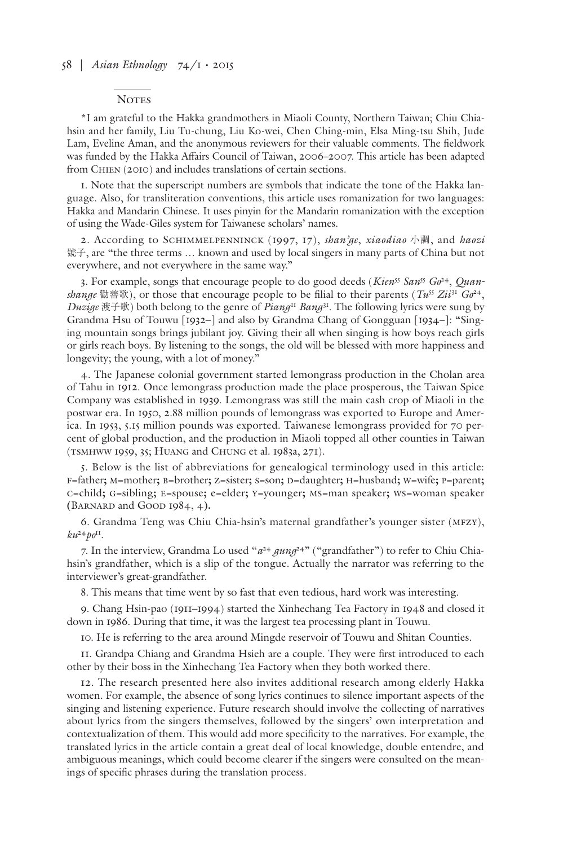#### **NOTES**

\*I am grateful to the Hakka grandmothers in Miaoli County, Northern Taiwan; Chiu Chiahsin and her family, Liu Tu-chung, Liu Ko-wei, Chen Ching-min, Elsa Ming-tsu Shih, Jude Lam, Eveline Aman, and the anonymous reviewers for their valuable comments. The fieldwork was funded by the Hakka Affairs Council of Taiwan, 2006–2007. This article has been adapted from CHIEN (2010) and includes translations of certain sections.

1. Note that the superscript numbers are symbols that indicate the tone of the Hakka language. Also, for transliteration conventions, this article uses romanization for two languages: Hakka and Mandarin Chinese. It uses pinyin for the Mandarin romanization with the exception of using the Wade-Giles system for Taiwanese scholars' names.

2. According to Schimmelpenninck (1997, 17), *shan'ge*, *xiaodiao* 小調, and *haozi* 號子, are "the three terms … known and used by local singers in many parts of China but not everywhere, and not everywhere in the same way."

3. For example, songs that encourage people to do good deeds (*Kien*<sup>55</sup> *San*<sup>55</sup> *Go*24, *Quanshange* 勸善歌), or those that encourage people to be filial to their parents ( $Tw^{55} Zi^{31} G^{24}$ , *Duzige* 渡子歌) both belong to the genre of *Piang*<sup>11</sup> *Bang*31. The following lyrics were sung by Grandma Hsu of Touwu [1932–] and also by Grandma Chang of Gongguan [1934–]: "Singing mountain songs brings jubilant joy. Giving their all when singing is how boys reach girls or girls reach boys. By listening to the songs, the old will be blessed with more happiness and longevity; the young, with a lot of money."

4. The Japanese colonial government started lemongrass production in the Cholan area of Tahu in 1912. Once lemongrass production made the place prosperous, the Taiwan Spice Company was established in 1939. Lemongrass was still the main cash crop of Miaoli in the postwar era. In 1950, 2.88 million pounds of lemongrass was exported to Europe and America. In 1953, 5.15 million pounds was exported. Taiwanese lemongrass provided for 70 percent of global production, and the production in Miaoli topped all other counties in Taiwan (TSMHWW 1959, 35; Huang and Chung et al. 1983a, 271).

5. Below is the list of abbreviations for genealogical terminology used in this article: F=father**;** M=mother**;** B=brother**;** Z=sister**;** S=son**;** D=daughter**;** H=husband**;** W=wife**;** P=parent**;**  C=child**;** G=sibling**;** E=spouse**;** e=elder**;** y=younger**;** ms=man speaker**;** ws=woman speaker **(**Barnard and Good 1984, 4**).**

6. Grandma Teng was Chiu Chia-hsin's maternal grandfather's younger sister (MFZy),  $ku^{24}p0^{11}$ .

7. In the interview, Grandma Lo used " $a^{24}$   $\beta$ ung<sup>24"</sup> ("grandfather") to refer to Chiu Chiahsin's grandfather, which is a slip of the tongue. Actually the narrator was referring to the interviewer's great-grandfather.

8. This means that time went by so fast that even tedious, hard work was interesting.

9. Chang Hsin-pao (1911–1994) started the Xinhechang Tea Factory in 1948 and closed it down in 1986. During that time, it was the largest tea processing plant in Touwu.

10. He is referring to the area around Mingde reservoir of Touwu and Shitan Counties.

11. Grandpa Chiang and Grandma Hsieh are a couple. They were first introduced to each other by their boss in the Xinhechang Tea Factory when they both worked there.

12. The research presented here also invites additional research among elderly Hakka women. For example, the absence of song lyrics continues to silence important aspects of the singing and listening experience. Future research should involve the collecting of narratives about lyrics from the singers themselves, followed by the singers' own interpretation and contextualization of them. This would add more specificity to the narratives. For example, the translated lyrics in the article contain a great deal of local knowledge, double entendre, and ambiguous meanings, which could become clearer if the singers were consulted on the meanings of specific phrases during the translation process.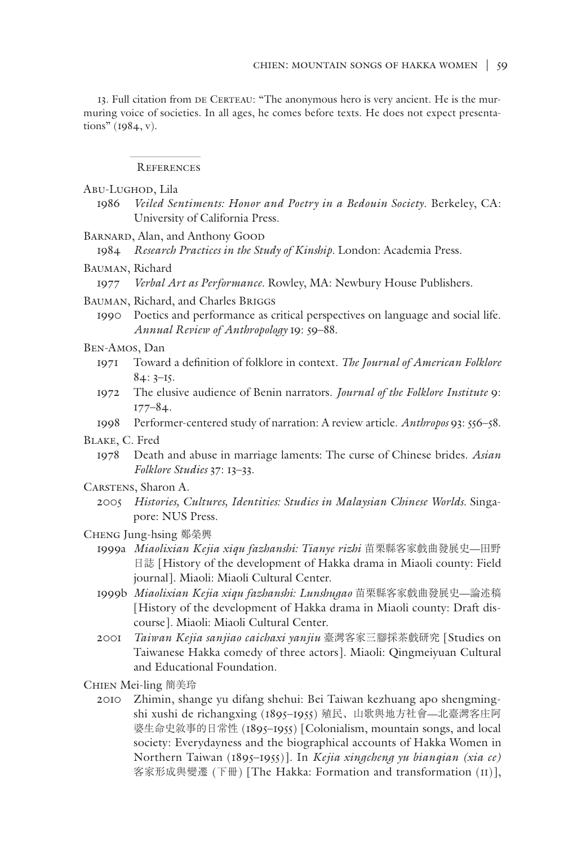13. Full citation from DE CERTEAU: "The anonymous hero is very ancient. He is the murmuring voice of societies. In all ages, he comes before texts. He does not expect presentations" (1984, v).

References

Abu-Lughod, Lila

- 1986 *Veiled Sentiments: Honor and Poetry in a Bedouin Society*. Berkeley, CA: University of California Press.
- BARNARD, Alan, and Anthony GOOD

1984 *Research Practices in the Study of Kinship.* London: Academia Press.

Bauman, Richard

1977 *Verbal Art as Performance.* Rowley, MA: Newbury House Publishers.

Bauman, Richard, and Charles Briggs

1990 Poetics and performance as critical perspectives on language and social life. *Annual Review of Anthropology* 19: 59–88.

#### Ben-Amos, Dan

- 1971 Toward a definition of folklore in context. *The Journal of American Folklore*  $84:3-15.$
- 1972 The elusive audience of Benin narrators. *Journal of the Folklore Institute* 9: 177–84.
- 1998 Performer-centered study of narration: A review article. *Anthropos* 93: 556–58.

Blake, C. Fred

- 1978 Death and abuse in marriage laments: The curse of Chinese brides. *Asian Folklore Studies* 37: 13–33.
- Carstens, Sharon A.
	- 2005 *Histories, Cultures, Identities: Studies in Malaysian Chinese Worlds.* Singapore: NUS Press.
- Cheng Jung-hsing 鄭榮興
	- 1999a *Miaolixian Kejia xiqu fazhanshi: Tianye rizhi* 苗栗縣客家戲曲發展史—田野 日誌 [History of the development of Hakka drama in Miaoli county: Field journal]. Miaoli: Miaoli Cultural Center.
	- 1999b *Miaolixian Kejia xiqu fazhanshi: Lunshugao* 苗栗縣客家戲曲發展史—論述稿 [History of the development of Hakka drama in Miaoli county: Draft discourse]. Miaoli: Miaoli Cultural Center.
	- 2001 *Taiwan Kejia sanjiao caichaxi yanjiu* 臺灣客家三腳採茶戲研究 [Studies on Taiwanese Hakka comedy of three actors]. Miaoli: Qingmeiyuan Cultural and Educational Foundation.
- Chien Mei-ling 簡美玲
	- 2010 Zhimin, shange yu difang shehui: Bei Taiwan kezhuang apo shengmingshi xushi de richangxing (1895–1955) 殖民、山歌與地方社會—北臺灣客庄阿 婆生命史敘事的日常性 (1895-1955) [Colonialism, mountain songs, and local society: Everydayness and the biographical accounts of Hakka Women in Northern Taiwan (1895–1955)]. In *Kejia xingcheng yu bianqian (xia ce)* 客家形成與變遷 (下冊) [The Hakka: Formation and transformation (II)],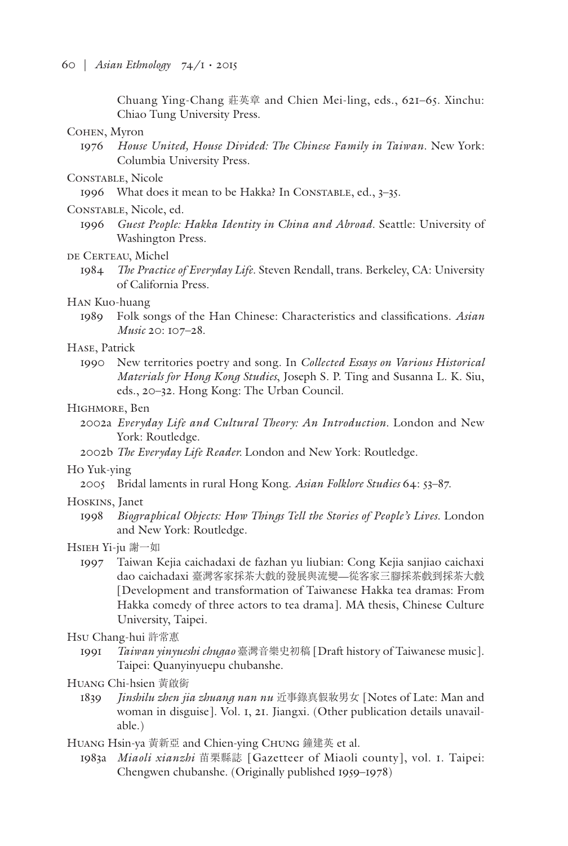Chuang Ying-Chang 莊英章 and Chien Mei-ling, eds., 621–65. Xinchu: Chiao Tung University Press.

#### Cohen, Myron

1976 *House United, House Divided: The Chinese Family in Taiwan*. New York: Columbia University Press.

## CONSTABLE, Nicole

1996 What does it mean to be Hakka? In CONSTABLE, ed., 3-35.

#### Constable, Nicole, ed.

1996 *Guest People: Hakka Identity in China and Abroad*. Seattle: University of Washington Press.

## DE CERTEAU, Michel

1984 *The Practice of Everyday Life*. Steven Rendall, trans. Berkeley, CA: University of California Press.

# Han Kuo-huang

1989 Folk songs of the Han Chinese: Characteristics and classifications. *Asian Music* 20: 107–28.

## Hase, Patrick

1990 New territories poetry and song. In *Collected Essays on Various Historical Materials for Hong Kong Studies*, Joseph S. P. Ting and Susanna L. K. Siu, eds., 20–32. Hong Kong: The Urban Council.

## Highmore, Ben

2002a *Everyday Life and Cultural Theory: An Introduction.* London and New York: Routledge.

2002b *The Everyday Life Reader.* London and New York: Routledge.

#### Ho Yuk-ying

2005 Bridal laments in rural Hong Kong. *Asian Folklore Studies* 64: 53–87.

#### Hoskins, Janet

1998 *Biographical Objects: How Things Tell the Stories of People's Lives.* London and New York: Routledge.

#### Hsieh Yi-ju 謝一如

1997 Taiwan Kejia caichadaxi de fazhan yu liubian: Cong Kejia sanjiao caichaxi dao caichadaxi 臺灣客家採茶大戲的發展與流變—從客家三腳採茶戲到採茶大戲 [Development and transformation of Taiwanese Hakka tea dramas: From Hakka comedy of three actors to tea drama]. MA thesis, Chinese Culture University, Taipei*.*

#### Hsu Chang-hui 許常惠

1991 *Taiwan yinyueshi chugao* 臺灣音樂史初稿 [Draft history of Taiwanese music]. Taipei: Quanyinyuepu chubanshe.

## Huang Chi-hsien 黃啟銜

1839 *Jinshilu zhen jia zhuang nan nu* 近事錄真假妝男女 [Notes of Late: Man and woman in disguise]. Vol. 1, 21. Jiangxi. (Other publication details unavailable.)

Huang Hsin-ya 黃新亞 and Chien-ying Chung 鐘建英 et al.

1983a *Miaoli xianzhi* 苗栗縣誌 [Gazetteer of Miaoli county], vol. 1. Taipei: Chengwen chubanshe. (Originally published 1959–1978)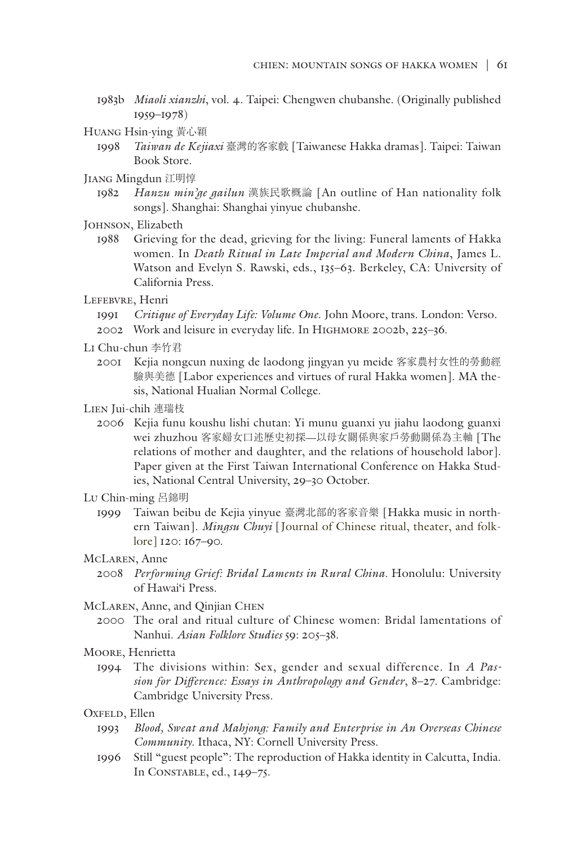- 1983b *Miaoli xianzhi*, vol. 4. Taipei: Chengwen chubanshe. (Originally published 1959–1978)
- Huang Hsin-ying 黃心穎
	- 1998 *Taiwan de Kejiaxi* 臺灣的客家戲 [Taiwanese Hakka dramas]. Taipei: Taiwan Book Store.
- Jiang Mingdun 江明惇
	- 1982 *Hanzu min'ge gailun* 漢族民歌概論 [An outline of Han nationality folk songs]. Shanghai: Shanghai yinyue chubanshe.
- JOHNSON, Elizabeth
	- 1988 Grieving for the dead, grieving for the living: Funeral laments of Hakka women. In *Death Ritual in Late Imperial and Modern China*, James L. Watson and Evelyn S. Rawski, eds., 135–63. Berkeley, CA: University of California Press.
- LEFEBVRE, Henri
	- 1991 *Critique of Everyday Life: Volume One*. John Moore, trans. London: Verso.
	- 2002 Work and leisure in everyday life. In Highmore 2002b, 225–36.
- Li Chu-chun 李竹君
	- 2001 Kejia nongcun nuxing de laodong jingyan yu meide 客家農村女性的勞動經 驗與美德 [Labor experiences and virtues of rural Hakka women]. MA thesis, National Hualian Normal College.
- Lien Jui-chih 連瑞枝
	- 2006 Kejia funu koushu lishi chutan: Yi munu guanxi yu jiahu laodong guanxi wei zhuzhou 客家婦女口述歷史初探—以母女關係與家戶勞動關係為主軸 [The relations of mother and daughter, and the relations of household labor]. Paper given at the First Taiwan International Conference on Hakka Studies, National Central University, 29–30 October.
- Lu Chin-ming 呂錦明
	- 1999 Taiwan beibu de Kejia yinyue 臺灣北部的客家音樂 [Hakka music in northern Taiwan]. *Mingsu Chuyi* [Journal of Chinese ritual, theater, and folklore] 120: 167–90.
- McLaren, Anne
	- 2008 *Performing Grief: Bridal Laments in Rural China.* Honolulu: University of Hawai'i Press.
- McLaren, Anne, and Qinjian CHEN
	- 2000 The oral and ritual culture of Chinese women: Bridal lamentations of Nanhui. *Asian Folklore Studies* 59: 205–38.
- Moore, Henrietta
	- 1994 The divisions within: Sex, gender and sexual difference. In *A Passion for Difference: Essays in Anthropology and Gender*, 8–27. Cambridge: Cambridge University Press.
- OXFELD, Ellen
	- 1993 *Blood, Sweat and Mahjong: Family and Enterprise in An Overseas Chinese Community*. Ithaca, NY: Cornell University Press.
	- 1996 Still "guest people": The reproduction of Hakka identity in Calcutta, India. In Constable, ed., 149–75.